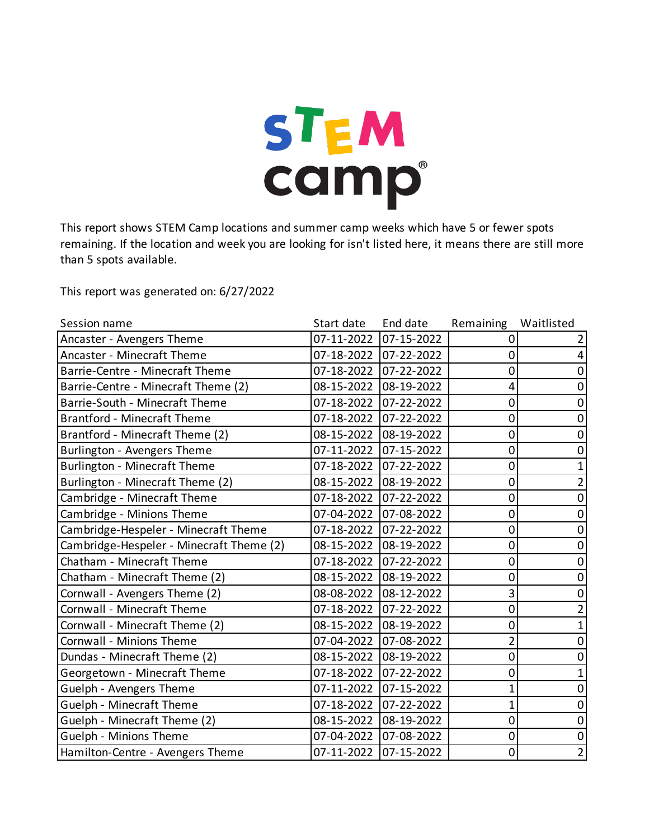

This report shows STEM Camp locations and summer camp weeks which have 5 or fewer spots remaining. If the location and week you are looking for isn't listed here, it means there are still more than 5 spots available.

This report was generated on: 6/27/2022

| Session name                             | Start date | End date              | Remaining | Waitlisted     |
|------------------------------------------|------------|-----------------------|-----------|----------------|
| Ancaster - Avengers Theme                | 07-11-2022 | 07-15-2022            |           |                |
| Ancaster - Minecraft Theme               | 07-18-2022 | 07-22-2022            | 0         |                |
| Barrie-Centre - Minecraft Theme          |            | 07-18-2022 07-22-2022 | 0         | 0              |
| Barrie-Centre - Minecraft Theme (2)      | 08-15-2022 | 08-19-2022            | 4         | 0              |
| Barrie-South - Minecraft Theme           | 07-18-2022 | 07-22-2022            | 0         | 0              |
| <b>Brantford - Minecraft Theme</b>       | 07-18-2022 | 07-22-2022            | 0         | 0              |
| Brantford - Minecraft Theme (2)          | 08-15-2022 | 08-19-2022            | 0         | $\mathbf 0$    |
| Burlington - Avengers Theme              | 07-11-2022 | 07-15-2022            | 0         | 0              |
| <b>Burlington - Minecraft Theme</b>      | 07-18-2022 | 07-22-2022            | 0         |                |
| Burlington - Minecraft Theme (2)         | 08-15-2022 | 08-19-2022            | 0         | 2              |
| Cambridge - Minecraft Theme              | 07-18-2022 | 07-22-2022            | 0         | 0              |
| Cambridge - Minions Theme                | 07-04-2022 | 07-08-2022            | 0         | 0              |
| Cambridge-Hespeler - Minecraft Theme     | 07-18-2022 | 07-22-2022            | 0         | 0              |
| Cambridge-Hespeler - Minecraft Theme (2) | 08-15-2022 | 08-19-2022            | 0         | 0              |
| Chatham - Minecraft Theme                | 07-18-2022 | 07-22-2022            | 0         | 0              |
| Chatham - Minecraft Theme (2)            | 08-15-2022 | 08-19-2022            | 0         | 0              |
| Cornwall - Avengers Theme (2)            | 08-08-2022 | 08-12-2022            | 3         | 0              |
| Cornwall - Minecraft Theme               | 07-18-2022 | 07-22-2022            | 0         |                |
| Cornwall - Minecraft Theme (2)           | 08-15-2022 | 08-19-2022            | 0         |                |
| Cornwall - Minions Theme                 | 07-04-2022 | 07-08-2022            | 2         | 0              |
| Dundas - Minecraft Theme (2)             | 08-15-2022 | 08-19-2022            | 0         | 0              |
| Georgetown - Minecraft Theme             | 07-18-2022 | 07-22-2022            | 0         |                |
| Guelph - Avengers Theme                  | 07-11-2022 | 07-15-2022            | 1         | 0              |
| Guelph - Minecraft Theme                 | 07-18-2022 | 07-22-2022            | 1         | 0              |
| Guelph - Minecraft Theme (2)             | 08-15-2022 | 08-19-2022            | 0         | 0              |
| Guelph - Minions Theme                   | 07-04-2022 | 07-08-2022            | 0         | $\mathbf 0$    |
| Hamilton-Centre - Avengers Theme         | 07-11-2022 | 07-15-2022            | 0         | $\overline{2}$ |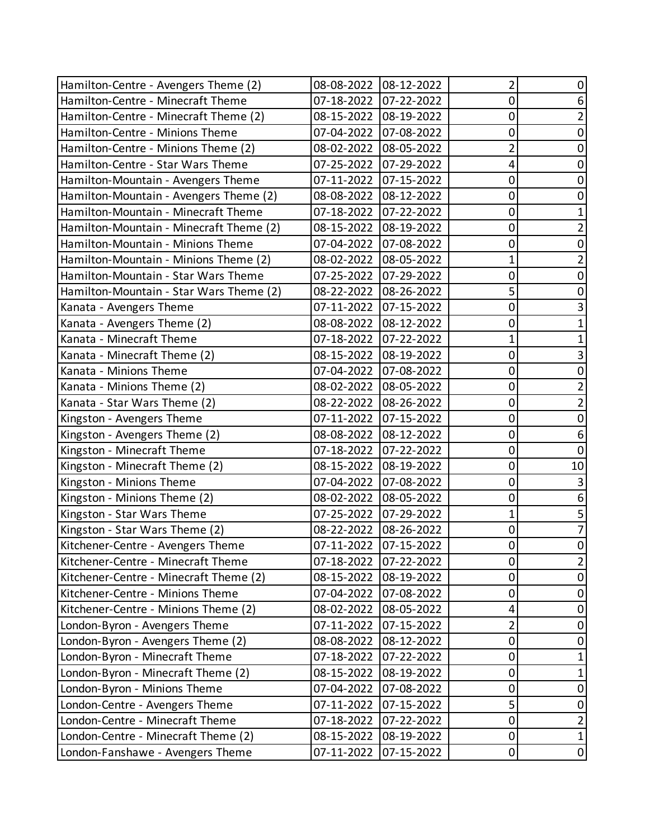| Hamilton-Centre - Avengers Theme (2)    | 08-08-2022            | 08-12-2022 | 2              | 0              |
|-----------------------------------------|-----------------------|------------|----------------|----------------|
| Hamilton-Centre - Minecraft Theme       | 07-18-2022            | 07-22-2022 | 0              | 6              |
| Hamilton-Centre - Minecraft Theme (2)   | 08-15-2022            | 08-19-2022 | 0              | 2              |
| Hamilton-Centre - Minions Theme         | 07-04-2022            | 07-08-2022 | 0              | 0              |
| Hamilton-Centre - Minions Theme (2)     | 08-02-2022            | 08-05-2022 | 2              | 0              |
| Hamilton-Centre - Star Wars Theme       | 07-25-2022            | 07-29-2022 | 4              | 0              |
| Hamilton-Mountain - Avengers Theme      | 07-11-2022            | 07-15-2022 | 0              | 0              |
| Hamilton-Mountain - Avengers Theme (2)  | 08-08-2022            | 08-12-2022 | 0              | 0              |
| Hamilton-Mountain - Minecraft Theme     | 07-18-2022            | 07-22-2022 | 0              |                |
| Hamilton-Mountain - Minecraft Theme (2) | 08-15-2022            | 08-19-2022 | 0              | 2              |
| Hamilton-Mountain - Minions Theme       | 07-04-2022            | 07-08-2022 | 0              | 0              |
| Hamilton-Mountain - Minions Theme (2)   | 08-02-2022            | 08-05-2022 | 1              |                |
| Hamilton-Mountain - Star Wars Theme     | 07-25-2022            | 07-29-2022 | 0              | 0              |
| Hamilton-Mountain - Star Wars Theme (2) | 08-22-2022            | 08-26-2022 | 5              | 0              |
| Kanata - Avengers Theme                 | 07-11-2022            | 07-15-2022 | 0              |                |
| Kanata - Avengers Theme (2)             | 08-08-2022            | 08-12-2022 | 0              |                |
| Kanata - Minecraft Theme                | 07-18-2022            | 07-22-2022 | 1              |                |
| Kanata - Minecraft Theme (2)            | 08-15-2022            | 08-19-2022 | 0              | 3              |
| Kanata - Minions Theme                  | 07-04-2022            | 07-08-2022 | 0              | 0              |
| Kanata - Minions Theme (2)              | 08-02-2022            | 08-05-2022 | 0              | 2              |
| Kanata - Star Wars Theme (2)            | 08-22-2022            | 08-26-2022 | 0              | 2              |
| Kingston - Avengers Theme               | 07-11-2022            | 07-15-2022 | 0              | 0              |
| Kingston - Avengers Theme (2)           | 08-08-2022            | 08-12-2022 | 0              | 6              |
| Kingston - Minecraft Theme              | 07-18-2022            | 07-22-2022 | 0              | 0              |
| Kingston - Minecraft Theme (2)          | 08-15-2022            | 08-19-2022 | 0              | 10             |
| Kingston - Minions Theme                | 07-04-2022            | 07-08-2022 | 0              | $\mathbf{3}$   |
| Kingston - Minions Theme (2)            | 08-02-2022            | 08-05-2022 | 0              | 6              |
| Kingston - Star Wars Theme              | 07-25-2022            | 07-29-2022 | 1              | 5              |
| Kingston - Star Wars Theme (2)          | 08-22-2022            | 08-26-2022 | 0              | 7              |
| Kitchener-Centre - Avengers Theme       | 07-11-2022 07-15-2022 |            | $\mathbf 0$    | 0              |
| Kitchener-Centre - Minecraft Theme      | 07-18-2022            | 07-22-2022 | 0              | $\overline{2}$ |
| Kitchener-Centre - Minecraft Theme (2)  | 08-15-2022            | 08-19-2022 | 0              | 0              |
| Kitchener-Centre - Minions Theme        | 07-04-2022            | 07-08-2022 | 0              | 0              |
| Kitchener-Centre - Minions Theme (2)    | 08-02-2022            | 08-05-2022 | 4              | 0              |
| London-Byron - Avengers Theme           | 07-11-2022            | 07-15-2022 | $\overline{2}$ | 0              |
| London-Byron - Avengers Theme (2)       | 08-08-2022            | 08-12-2022 | 0              | 0              |
| London-Byron - Minecraft Theme          | 07-18-2022            | 07-22-2022 | 0              |                |
| London-Byron - Minecraft Theme (2)      | 08-15-2022            | 08-19-2022 | 0              |                |
| London-Byron - Minions Theme            | 07-04-2022            | 07-08-2022 | 0              | 0              |
| London-Centre - Avengers Theme          | 07-11-2022            | 07-15-2022 | 5              | 0              |
| London-Centre - Minecraft Theme         | 07-18-2022            | 07-22-2022 | $\pmb{0}$      | $\overline{2}$ |
| London-Centre - Minecraft Theme (2)     | 08-15-2022            | 08-19-2022 | 0              | $\mathbf{1}$   |
| London-Fanshawe - Avengers Theme        | 07-11-2022            | 07-15-2022 | $\mathbf 0$    | $\pmb{0}$      |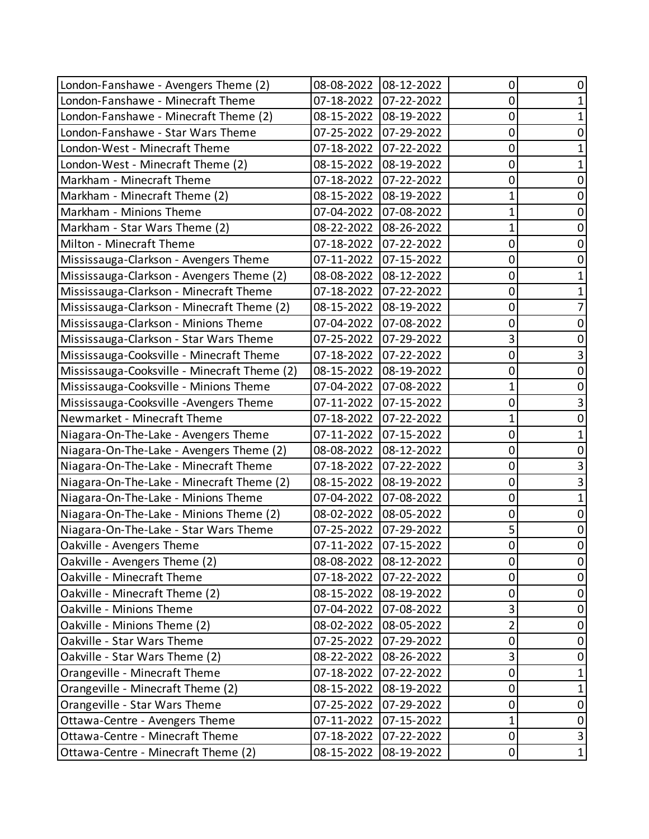| London-Fanshawe - Avengers Theme (2)         | 08-08-2022 | 08-12-2022            | 0              | O           |
|----------------------------------------------|------------|-----------------------|----------------|-------------|
| London-Fanshawe - Minecraft Theme            | 07-18-2022 | 07-22-2022            | 0              |             |
| London-Fanshawe - Minecraft Theme (2)        | 08-15-2022 | 08-19-2022            | 0              |             |
| London-Fanshawe - Star Wars Theme            | 07-25-2022 | 07-29-2022            | 0              | O           |
| London-West - Minecraft Theme                | 07-18-2022 | 07-22-2022            | 0              |             |
| London-West - Minecraft Theme (2)            | 08-15-2022 | 08-19-2022            | 0              |             |
| Markham - Minecraft Theme                    | 07-18-2022 | 07-22-2022            | 0              | 0           |
| Markham - Minecraft Theme (2)                | 08-15-2022 | 08-19-2022            | 1              | O           |
| Markham - Minions Theme                      | 07-04-2022 | 07-08-2022            | 1              | 0           |
| Markham - Star Wars Theme (2)                | 08-22-2022 | 08-26-2022            | 1              | 0           |
| Milton - Minecraft Theme                     | 07-18-2022 | 07-22-2022            | 0              | 0           |
| Mississauga-Clarkson - Avengers Theme        | 07-11-2022 | 07-15-2022            | 0              | 0           |
| Mississauga-Clarkson - Avengers Theme (2)    | 08-08-2022 | 08-12-2022            | 0              |             |
| Mississauga-Clarkson - Minecraft Theme       | 07-18-2022 | 07-22-2022            | 0              |             |
| Mississauga-Clarkson - Minecraft Theme (2)   | 08-15-2022 | 08-19-2022            | 0              |             |
| Mississauga-Clarkson - Minions Theme         | 07-04-2022 | 07-08-2022            | 0              | 0           |
| Mississauga-Clarkson - Star Wars Theme       | 07-25-2022 | 07-29-2022            | 3              | 0           |
| Mississauga-Cooksville - Minecraft Theme     | 07-18-2022 | 07-22-2022            | 0              | 3           |
| Mississauga-Cooksville - Minecraft Theme (2) | 08-15-2022 | 08-19-2022            | 0              | 0           |
| Mississauga-Cooksville - Minions Theme       | 07-04-2022 | 07-08-2022            | 1              | 0           |
| Mississauga-Cooksville - Avengers Theme      | 07-11-2022 | 07-15-2022            | 0              | 3           |
| Newmarket - Minecraft Theme                  | 07-18-2022 | 07-22-2022            | 1              | 0           |
| Niagara-On-The-Lake - Avengers Theme         | 07-11-2022 | 07-15-2022            | 0              |             |
| Niagara-On-The-Lake - Avengers Theme (2)     | 08-08-2022 | 08-12-2022            | 0              | 0           |
| Niagara-On-The-Lake - Minecraft Theme        | 07-18-2022 | 07-22-2022            | 0              |             |
| Niagara-On-The-Lake - Minecraft Theme (2)    | 08-15-2022 | 08-19-2022            | 0              | 3           |
| Niagara-On-The-Lake - Minions Theme          | 07-04-2022 | 07-08-2022            | 0              |             |
| Niagara-On-The-Lake - Minions Theme (2)      | 08-02-2022 | 08-05-2022            | 0              | 0           |
| Niagara-On-The-Lake - Star Wars Theme        | 07-25-2022 | 07-29-2022            | 5              | 0           |
| Oakville - Avengers Theme                    | 07-11-2022 | 07-15-2022            | $\overline{0}$ | 0           |
| Oakville - Avengers Theme (2)                |            | 08-08-2022 08-12-2022 | 0              | 0           |
| Oakville - Minecraft Theme                   | 07-18-2022 | 07-22-2022            | 0              | 0           |
| Oakville - Minecraft Theme (2)               | 08-15-2022 | 08-19-2022            | 0              | 0           |
| Oakville - Minions Theme                     | 07-04-2022 | 07-08-2022            | 3              | 0           |
| Oakville - Minions Theme (2)                 | 08-02-2022 | 08-05-2022            | $\overline{2}$ | 0           |
| Oakville - Star Wars Theme                   | 07-25-2022 | 07-29-2022            | 0              | 0           |
| Oakville - Star Wars Theme (2)               | 08-22-2022 | 08-26-2022            | 3              | 0           |
| Orangeville - Minecraft Theme                | 07-18-2022 | 07-22-2022            | 0              |             |
| Orangeville - Minecraft Theme (2)            | 08-15-2022 | 08-19-2022            | 0              | 1           |
| Orangeville - Star Wars Theme                | 07-25-2022 | 07-29-2022            | 0              | $\mathbf 0$ |
| Ottawa-Centre - Avengers Theme               | 07-11-2022 | 07-15-2022            | 1              | 0           |
| Ottawa-Centre - Minecraft Theme              | 07-18-2022 | 07-22-2022            | 0              | 3           |
| Ottawa-Centre - Minecraft Theme (2)          | 08-15-2022 | 08-19-2022            | $\mathbf 0$    | $\mathbf 1$ |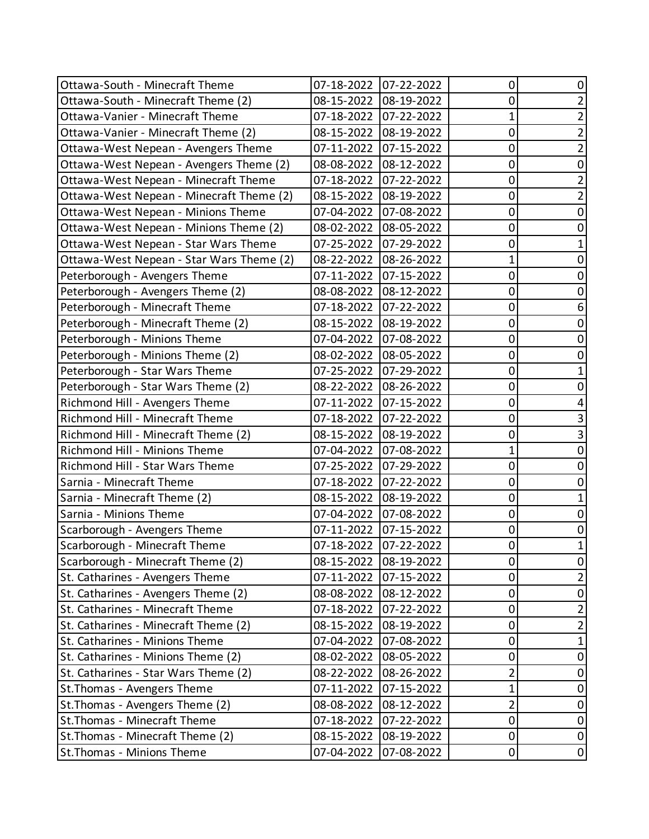| Ottawa-South - Minecraft Theme           | 07-18-2022            | 07-22-2022 | 0              | 0              |
|------------------------------------------|-----------------------|------------|----------------|----------------|
| Ottawa-South - Minecraft Theme (2)       | 08-15-2022            | 08-19-2022 | 0              | 2              |
| Ottawa-Vanier - Minecraft Theme          | 07-18-2022            | 07-22-2022 | 1              | $\overline{2}$ |
| Ottawa-Vanier - Minecraft Theme (2)      | 08-15-2022            | 08-19-2022 | 0              | $\overline{2}$ |
| Ottawa-West Nepean - Avengers Theme      | 07-11-2022            | 07-15-2022 | 0              | $\overline{2}$ |
| Ottawa-West Nepean - Avengers Theme (2)  | 08-08-2022            | 08-12-2022 | 0              | $\mathbf 0$    |
| Ottawa-West Nepean - Minecraft Theme     | 07-18-2022            | 07-22-2022 | 0              | $\overline{2}$ |
| Ottawa-West Nepean - Minecraft Theme (2) | 08-15-2022            | 08-19-2022 | 0              | $\overline{2}$ |
| Ottawa-West Nepean - Minions Theme       | 07-04-2022            | 07-08-2022 | 0              | 0              |
| Ottawa-West Nepean - Minions Theme (2)   | 08-02-2022            | 08-05-2022 | 0              | 0              |
| Ottawa-West Nepean - Star Wars Theme     | 07-25-2022            | 07-29-2022 | 0              | 1              |
| Ottawa-West Nepean - Star Wars Theme (2) | 08-22-2022            | 08-26-2022 | 1              | 0              |
| Peterborough - Avengers Theme            | 07-11-2022            | 07-15-2022 | 0              | 0              |
| Peterborough - Avengers Theme (2)        | 08-08-2022            | 08-12-2022 | 0              | 0              |
| Peterborough - Minecraft Theme           | 07-18-2022            | 07-22-2022 | 0              | 6              |
| Peterborough - Minecraft Theme (2)       | 08-15-2022            | 08-19-2022 | 0              | 0              |
| Peterborough - Minions Theme             | 07-04-2022            | 07-08-2022 | 0              | 0              |
| Peterborough - Minions Theme (2)         | 08-02-2022            | 08-05-2022 | 0              | 0              |
| Peterborough - Star Wars Theme           | 07-25-2022            | 07-29-2022 | 0              |                |
| Peterborough - Star Wars Theme (2)       | 08-22-2022            | 08-26-2022 | 0              | 0              |
| Richmond Hill - Avengers Theme           | 07-11-2022            | 07-15-2022 | 0              | 4              |
| Richmond Hill - Minecraft Theme          | 07-18-2022            | 07-22-2022 | 0              | 3              |
| Richmond Hill - Minecraft Theme (2)      | 08-15-2022            | 08-19-2022 | 0              | 3              |
| Richmond Hill - Minions Theme            | 07-04-2022            | 07-08-2022 | 1              | 0              |
| Richmond Hill - Star Wars Theme          | 07-25-2022            | 07-29-2022 | 0              | 0              |
| Sarnia - Minecraft Theme                 | 07-18-2022            | 07-22-2022 | 0              | 0              |
| Sarnia - Minecraft Theme (2)             | 08-15-2022            | 08-19-2022 | 0              | 1              |
| Sarnia - Minions Theme                   | 07-04-2022            | 07-08-2022 | 0              | 0              |
| Scarborough - Avengers Theme             | 07-11-2022            | 07-15-2022 | 0              | 0              |
| Scarborough - Minecraft Theme            | 07-18-2022 07-22-2022 |            | 0              | 1              |
| Scarborough - Minecraft Theme (2)        | 08-15-2022            | 08-19-2022 | 0              | 0              |
| St. Catharines - Avengers Theme          | 07-11-2022            | 07-15-2022 | 0              | $\overline{2}$ |
| St. Catharines - Avengers Theme (2)      | 08-08-2022            | 08-12-2022 | 0              | 0              |
| St. Catharines - Minecraft Theme         | 07-18-2022            | 07-22-2022 | 0              | $\overline{2}$ |
| St. Catharines - Minecraft Theme (2)     | 08-15-2022            | 08-19-2022 | 0              | $\overline{2}$ |
| St. Catharines - Minions Theme           | 07-04-2022            | 07-08-2022 | 0              | 1              |
| St. Catharines - Minions Theme (2)       | 08-02-2022            | 08-05-2022 | 0              | 0              |
| St. Catharines - Star Wars Theme (2)     | 08-22-2022            | 08-26-2022 | $\overline{2}$ | 0              |
| St. Thomas - Avengers Theme              | 07-11-2022            | 07-15-2022 | 1              | 0              |
| St. Thomas - Avengers Theme (2)          | 08-08-2022            | 08-12-2022 | $\overline{2}$ | $\mathbf 0$    |
| St. Thomas - Minecraft Theme             | 07-18-2022            | 07-22-2022 | 0              | 0              |
| St. Thomas - Minecraft Theme (2)         | 08-15-2022            | 08-19-2022 | 0              | 0              |
| St. Thomas - Minions Theme               | 07-04-2022            | 07-08-2022 | 0              | 0              |